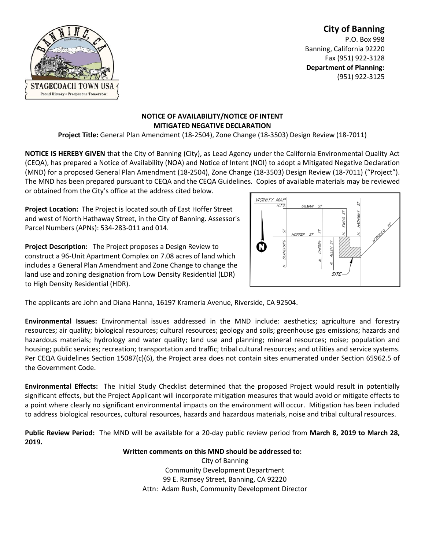## TAGECOACH TOWN USA **Proud History - Prosperous Tomorrow**

**City of Banning** P.O. Box 998 Banning, California 92220 Fax (951) 922-3128 **Department of Planning:** (951) 922-3125

## **NOTICE OF AVAILABILITY/NOTICE OF INTENT MITIGATED NEGATIVE DECLARATION**

**Project Title:** General Plan Amendment (18-2504), Zone Change (18-3503) Design Review (18-7011)

**NOTICE IS HEREBY GIVEN** that the City of Banning (City), as Lead Agency under the California Environmental Quality Act (CEQA), has prepared a Notice of Availability (NOA) and Notice of Intent (NOI) to adopt a Mitigated Negative Declaration (MND) for a proposed General Plan Amendment (18-2504), Zone Change (18-3503) Design Review (18-7011) ("Project"). The MND has been prepared pursuant to CEQA and the CEQA Guidelines. Copies of available materials may be reviewed or obtained from the City's office at the address cited below.

**Project Location:** The Project is located south of East Hoffer Street and west of North Hathaway Street, in the City of Banning. Assessor's Parcel Numbers (APNs): 534-283-011 and 014.

**Project Description:** The Project proposes a Design Review to construct a 96-Unit Apartment Complex on 7.08 acres of land which includes a General Plan Amendment and Zone Change to change the land use and zoning designation from Low Density Residential (LDR) to High Density Residential (HDR).



The applicants are John and Diana Hanna, 16197 Krameria Avenue, Riverside, CA 92504.

**Environmental Issues:** Environmental issues addressed in the MND include: aesthetics; agriculture and forestry resources; air quality; biological resources; cultural resources; geology and soils; greenhouse gas emissions; hazards and hazardous materials; hydrology and water quality; land use and planning; mineral resources; noise; population and housing; public services; recreation; transportation and traffic; tribal cultural resources; and utilities and service systems. Per CEQA Guidelines Section 15087(c)(6), the Project area does not contain sites enumerated under Section 65962.5 of the Government Code.

**Environmental Effects:** The Initial Study Checklist determined that the proposed Project would result in potentially significant effects, but the Project Applicant will incorporate mitigation measures that would avoid or mitigate effects to a point where clearly no significant environmental impacts on the environment will occur. Mitigation has been included to address biological resources, cultural resources, hazards and hazardous materials, noise and tribal cultural resources.

**Public Review Period:** The MND will be available for a 20-day public review period from **March 8, 2019 to March 28, 2019.**

## **Written comments on this MND should be addressed to:**

City of Banning Community Development Department 99 E. Ramsey Street, Banning, CA 92220 Attn: Adam Rush, Community Development Director